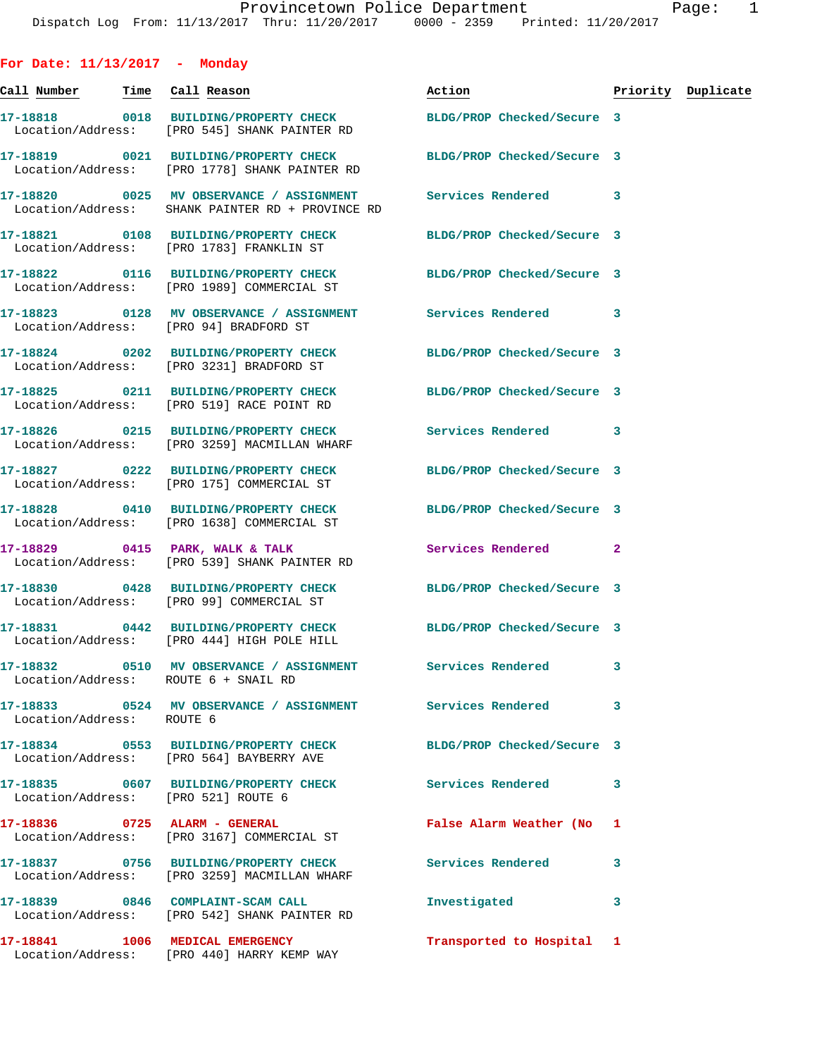**For Date: 11/13/2017 - Monday**

|                           |                                                                                                                | Action                     |   | Priority Duplicate |
|---------------------------|----------------------------------------------------------------------------------------------------------------|----------------------------|---|--------------------|
|                           | 17-18818 0018 BUILDING/PROPERTY CHECK<br>Location/Address: [PRO 545] SHANK PAINTER RD                          | BLDG/PROP Checked/Secure 3 |   |                    |
|                           | 17-18819 0021 BUILDING/PROPERTY CHECK<br>Location/Address: [PRO 1778] SHANK PAINTER RD                         | BLDG/PROP Checked/Secure 3 |   |                    |
|                           | 17-18820 0025 MV OBSERVANCE / ASSIGNMENT<br>Location/Address: SHANK PAINTER RD + PROVINCE RD                   | Services Rendered 3        |   |                    |
|                           | 17-18821 0108 BUILDING/PROPERTY CHECK<br>Location/Address: [PRO 1783] FRANKLIN ST                              | BLDG/PROP Checked/Secure 3 |   |                    |
|                           | 17-18822 0116 BUILDING/PROPERTY CHECK<br>Location/Address: [PRO 1989] COMMERCIAL ST                            | BLDG/PROP Checked/Secure 3 |   |                    |
|                           | 17-18823 0128 MV OBSERVANCE / ASSIGNMENT Services Rendered 3<br>Location/Address: [PRO 94] BRADFORD ST         |                            |   |                    |
|                           | 17-18824 0202 BUILDING/PROPERTY CHECK<br>Location/Address: [PRO 3231] BRADFORD ST                              | BLDG/PROP Checked/Secure 3 |   |                    |
|                           | 17-18825 0211 BUILDING/PROPERTY CHECK<br>Location/Address: [PRO 519] RACE POINT RD                             | BLDG/PROP Checked/Secure 3 |   |                    |
|                           | 17-18826 0215 BUILDING/PROPERTY CHECK<br>Location/Address: [PRO 3259] MACMILLAN WHARF                          | Services Rendered 3        |   |                    |
|                           | 17-18827 0222 BUILDING/PROPERTY CHECK<br>Location/Address: [PRO 175] COMMERCIAL ST                             | BLDG/PROP Checked/Secure 3 |   |                    |
|                           | 17-18828 0410 BUILDING/PROPERTY CHECK<br>Location/Address: [PRO 1638] COMMERCIAL ST                            | BLDG/PROP Checked/Secure 3 |   |                    |
|                           | 17-18829 0415 PARK, WALK & TALK<br>Location/Address: [PRO 539] SHANK PAINTER RD                                | Services Rendered 2        |   |                    |
|                           | 17-18830 0428 BUILDING/PROPERTY CHECK BLDG/PROP Checked/Secure 3<br>Location/Address: [PRO 99] COMMERCIAL ST   |                            |   |                    |
|                           | 17-18831 0442 BUILDING/PROPERTY CHECK BLDG/PROP Checked/Secure 3<br>Location/Address: [PRO 444] HIGH POLE HILL |                            |   |                    |
|                           | Location/Address: ROUTE 6 + SNAIL RD                                                                           |                            | 3 |                    |
| Location/Address: ROUTE 6 | 17-18833 0524 MV OBSERVANCE / ASSIGNMENT Services Rendered                                                     |                            | 3 |                    |
|                           | 17-18834 0553 BUILDING/PROPERTY CHECK BLDG/PROP Checked/Secure 3<br>Location/Address: [PRO 564] BAYBERRY AVE   |                            |   |                    |
|                           | 17-18835 0607 BUILDING/PROPERTY CHECK Services Rendered 3<br>Location/Address: [PRO 521] ROUTE 6               |                            |   |                    |
|                           | 17-18836 0725 ALARM - GENERAL<br>Location/Address: [PRO 3167] COMMERCIAL ST                                    | False Alarm Weather (No 1  |   |                    |
|                           | 17-18837 0756 BUILDING/PROPERTY CHECK Services Rendered<br>Location/Address: [PRO 3259] MACMILLAN WHARF        |                            | 3 |                    |
|                           | 17-18839 0846 COMPLAINT-SCAM CALL<br>Location/Address: [PRO 542] SHANK PAINTER RD                              | Investigated               | 3 |                    |
|                           | 17-18841 1006 MEDICAL EMERGENCY<br>Location/Address: [PRO 440] HARRY KEMP WAY                                  | Transported to Hospital 1  |   |                    |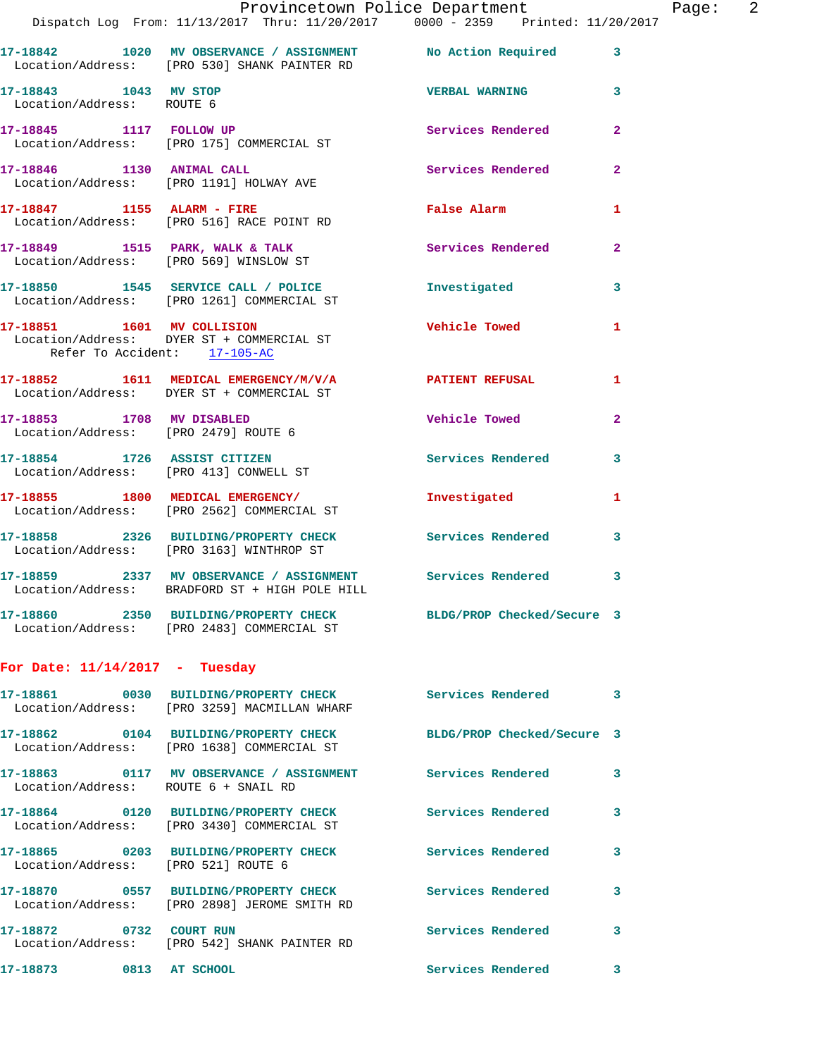|                                                    | Dispatch Log From: 11/13/2017 Thru: 11/20/2017 0000 - 2359 Printed: 11/20/2017                                 | Provincetown Police Department | Page: 2                 |
|----------------------------------------------------|----------------------------------------------------------------------------------------------------------------|--------------------------------|-------------------------|
|                                                    | 17-18842 1020 MV OBSERVANCE / ASSIGNMENT No Action Required 3                                                  |                                |                         |
|                                                    | Location/Address: [PRO 530] SHANK PAINTER RD                                                                   |                                |                         |
| 17-18843 1043 MV STOP<br>Location/Address: ROUTE 6 |                                                                                                                | <b>VERBAL WARNING</b> 3        |                         |
|                                                    | 17-18845 1117 FOLLOW UP<br>Location/Address: [PRO 175] COMMERCIAL ST                                           | Services Rendered              | $\mathbf{2}$            |
|                                                    | 17-18846 1130 ANIMAL CALL Services Rendered Location/Address: [PRO 1191] HOLWAY AVE                            |                                | $\mathbf{2}$            |
|                                                    | 17-18847 1155 ALARM - FIRE<br>Location/Address: [PRO 516] RACE POINT RD                                        | False Alarm 1                  |                         |
|                                                    | 17-18849 1515 PARK, WALK & TALK 1999 Services Rendered<br>Location/Address: [PRO 569] WINSLOW ST               |                                | $\mathbf{2}$            |
|                                                    | 17-18850 1545 SERVICE CALL / POLICE 11 Investigated<br>Location/Address: [PRO 1261] COMMERCIAL ST              |                                | $\overline{\mathbf{3}}$ |
| Refer To Accident: 17-105-AC                       | 17-18851 1601 MV COLLISION<br>Location/Address: DYER ST + COMMERCIAL ST                                        | <b>Vehicle Towed</b>           | $\mathbf{1}$            |
|                                                    | 17-18852 1611 MEDICAL EMERGENCY/M/V/A PATIENT REFUSAL 1<br>Location/Address: DYER ST + COMMERCIAL ST           |                                |                         |
|                                                    | 17-18853 1708 MV DISABLED<br>Location/Address: [PRO 2479] ROUTE 6                                              | Vehicle Towed                  | $\mathbf{2}$            |
|                                                    | 17-18854 1726 ASSIST CITIZEN<br>Location/Address: [PRO 413] CONWELL ST                                         | Services Rendered 3            |                         |
|                                                    | 17-18855 1800 MEDICAL EMERGENCY/ Investigated 1<br>Location/Address: [PRO 2562] COMMERCIAL ST                  |                                |                         |
|                                                    | 17-18858 2326 BUILDING/PROPERTY CHECK Services Rendered<br>Location/Address: [PRO 3163] WINTHROP ST            |                                | $\mathbf{3}$            |
|                                                    | 17-18859 2337 MV OBSERVANCE / ASSIGNMENT Services Rendered<br>Location/Address: BRADFORD ST + HIGH POLE HILL   |                                | 3                       |
|                                                    | 17-18860 2350 BUILDING/PROPERTY CHECK BLDG/PROP Checked/Secure 3<br>Location/Address: [PRO 2483] COMMERCIAL ST |                                |                         |
| For Date: $11/14/2017$ - Tuesday                   |                                                                                                                |                                |                         |
|                                                    | 17-18861 0030 BUILDING/PROPERTY CHECK<br>Location/Address: [PRO 3259] MACMILLAN WHARF                          | Services Rendered 3            |                         |
|                                                    | 17-18862 0104 BUILDING/PROPERTY CHECK<br>Location/Address: [PRO 1638] COMMERCIAL ST                            | BLDG/PROP Checked/Secure 3     |                         |
| Location/Address: ROUTE 6 + SNAIL RD               | 17-18863 0117 MV OBSERVANCE / ASSIGNMENT Services Rendered                                                     |                                | $\mathbf{3}$            |
|                                                    | 17-18864 0120 BUILDING/PROPERTY CHECK<br>Location/Address: [PRO 3430] COMMERCIAL ST                            | Services Rendered              | 3                       |
| Location/Address: [PRO 521] ROUTE 6                | 17-18865 0203 BUILDING/PROPERTY CHECK                                                                          | Services Rendered              | 3                       |
|                                                    | 17-18870 0557 BUILDING/PROPERTY CHECK<br>Location/Address: [PRO 2898] JEROME SMITH RD                          | <b>Services Rendered</b>       | 3                       |
| 17-18872 0732 COURT RUN                            | Location/Address: [PRO 542] SHANK PAINTER RD                                                                   | Services Rendered              | 3                       |
| 17-18873 0813 AT SCHOOL                            |                                                                                                                | Services Rendered              | 3                       |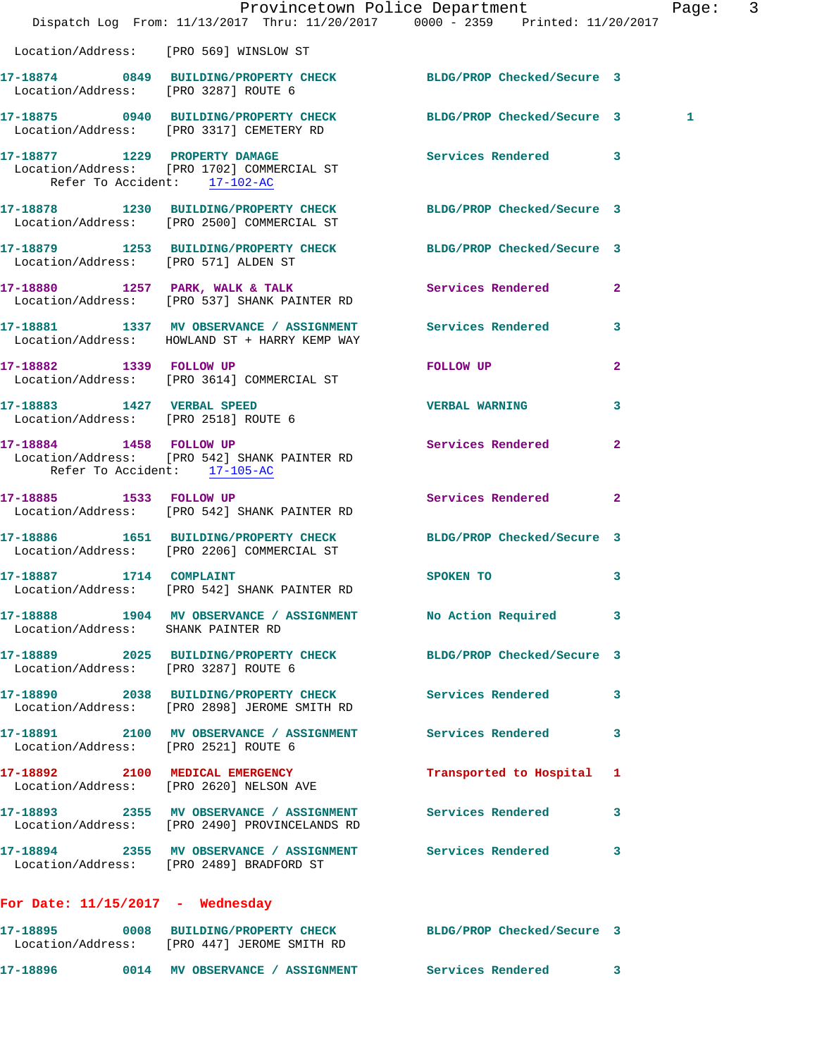|                                                         | Dispatch Log From: 11/13/2017 Thru: 11/20/2017 0000 - 2359 Printed: 11/20/2017                                  | Provincetown Police Department | $\overline{3}$<br>Page: |
|---------------------------------------------------------|-----------------------------------------------------------------------------------------------------------------|--------------------------------|-------------------------|
| Location/Address: [PRO 569] WINSLOW ST                  |                                                                                                                 |                                |                         |
| Location/Address: [PRO 3287] ROUTE 6                    | 17-18874 0849 BUILDING/PROPERTY CHECK BLDG/PROP Checked/Secure 3                                                |                                |                         |
|                                                         | 17-18875 0940 BUILDING/PROPERTY CHECK BLDG/PROP Checked/Secure 3<br>Location/Address: [PRO 3317] CEMETERY RD    |                                | 1                       |
| Refer To Accident: 17-102-AC                            | 17-18877 1229 PROPERTY DAMAGE Services Rendered 3<br>Location/Address: [PRO 1702] COMMERCIAL ST                 |                                |                         |
|                                                         | 17-18878 1230 BUILDING/PROPERTY CHECK BLDG/PROP Checked/Secure 3<br>Location/Address: [PRO 2500] COMMERCIAL ST  |                                |                         |
|                                                         | 17-18879 1253 BUILDING/PROPERTY CHECK BLDG/PROP Checked/Secure 3<br>Location/Address: [PRO 571] ALDEN ST        |                                |                         |
|                                                         | 17-18880 1257 PARK, WALK & TALK<br>Location/Address: [PRO 537] SHANK PAINTER RD                                 | Services Rendered 2            |                         |
|                                                         | 17-18881 1337 MV OBSERVANCE / ASSIGNMENT Services Rendered<br>Location/Address: HOWLAND ST + HARRY KEMP WAY     |                                | 3                       |
|                                                         | 17-18882 1339 FOLLOW UP<br>Location/Address: [PRO 3614] COMMERCIAL ST                                           | FOLLOW UP                      | $\overline{a}$          |
| Location/Address: [PRO 2518] ROUTE 6                    | 17-18883 1427 VERBAL SPEED                                                                                      | <b>VERBAL WARNING</b>          | 3                       |
| 17-18884 1458 FOLLOW UP<br>Refer To Accident: 17-105-AC | Location/Address: [PRO 542] SHANK PAINTER RD                                                                    | Services Rendered              | $\mathbf{2}$            |
|                                                         | 17-18885 1533 FOLLOW UP<br>Location/Address: [PRO 542] SHANK PAINTER RD                                         | Services Rendered              | $\mathbf{2}$            |
|                                                         | 17-18886 1651 BUILDING/PROPERTY CHECK BLDG/PROP Checked/Secure 3<br>Location/Address: [PRO 2206] COMMERCIAL ST  |                                |                         |
|                                                         | 17-18887 1714 COMPLAINT<br>Location/Address: [PRO 542] SHANK PAINTER RD                                         | SPOKEN TO                      | 3                       |
| Location/Address: SHANK PAINTER RD                      | 17-18888 1904 MV OBSERVANCE / ASSIGNMENT No Action Required 3                                                   |                                |                         |
| Location/Address: [PRO 3287] ROUTE 6                    | 17-18889 2025 BUILDING/PROPERTY CHECK BLDG/PROP Checked/Secure 3                                                |                                |                         |
|                                                         | 17-18890 2038 BUILDING/PROPERTY CHECK Services Rendered 3<br>Location/Address: [PRO 2898] JEROME SMITH RD       |                                |                         |
| Location/Address: [PRO 2521] ROUTE 6                    | 17-18891 2100 MV OBSERVANCE / ASSIGNMENT Services Rendered                                                      |                                | 3                       |
|                                                         | 17-18892 2100 MEDICAL EMERGENCY<br>Location/Address: [PRO 2620] NELSON AVE                                      | Transported to Hospital 1      |                         |
|                                                         | 17-18893 2355 MV OBSERVANCE / ASSIGNMENT<br>Location/Address: [PRO 2490] PROVINCELANDS RD                       | <b>Services Rendered</b>       | 3                       |
|                                                         | 17-18894 2355 MV OBSERVANCE / ASSIGNMENT Services Rendered 3<br>Location/Address: [PRO 2489] BRADFORD ST        |                                |                         |
| For Date: $11/15/2017$ - Wednesday                      |                                                                                                                 |                                |                         |
|                                                         | 17-18895 0008 BUILDING/PROPERTY CHECK BLDG/PROP Checked/Secure 3<br>Location/Address: [PRO 447] JEROME SMITH RD |                                |                         |
|                                                         |                                                                                                                 |                                |                         |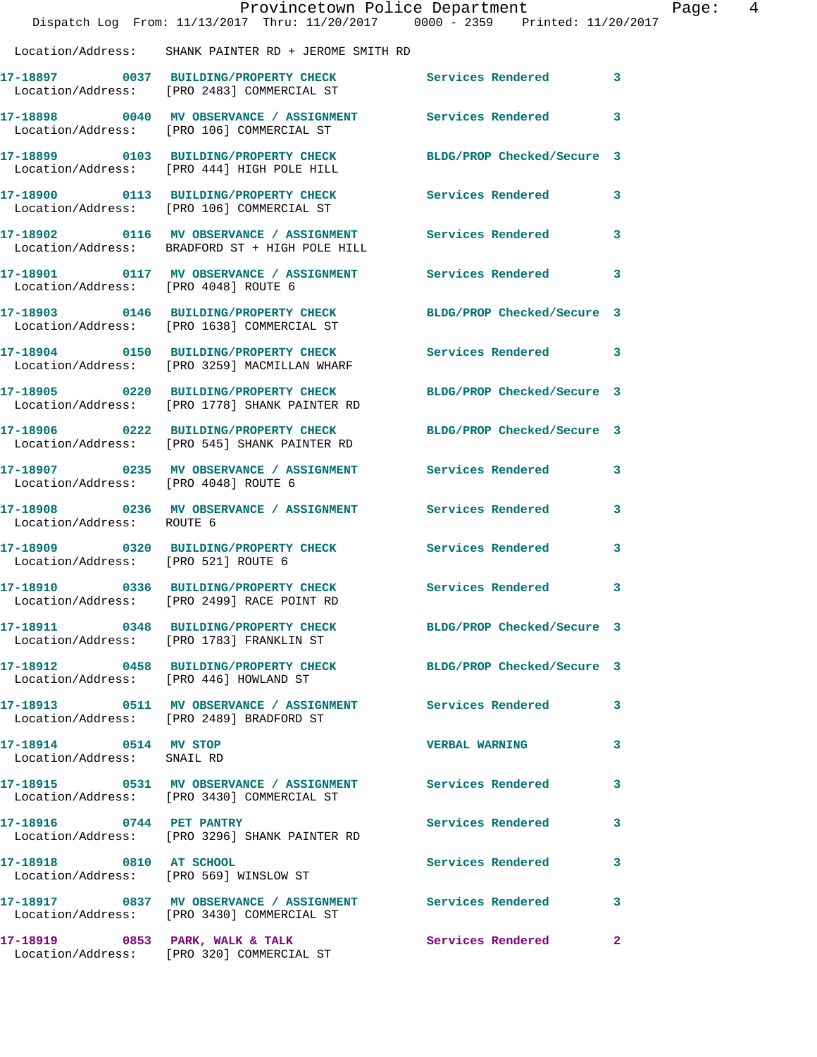|                                                     | Provincetown Police Department<br>Dispatch Log From: 11/13/2017 Thru: 11/20/2017 0000 - 2359 Printed: 11/20/2017 |                            | $\overline{4}$<br>Page: |
|-----------------------------------------------------|------------------------------------------------------------------------------------------------------------------|----------------------------|-------------------------|
|                                                     | Location/Address: SHANK PAINTER RD + JEROME SMITH RD                                                             |                            |                         |
|                                                     | 17-18897 0037 BUILDING/PROPERTY CHECK<br>Location/Address: [PRO 2483] COMMERCIAL ST                              | Services Rendered 3        |                         |
|                                                     | 17-18898 0040 MV OBSERVANCE / ASSIGNMENT Services Rendered<br>Location/Address: [PRO 106] COMMERCIAL ST          |                            | $\mathbf{3}$            |
|                                                     | 17-18899 0103 BUILDING/PROPERTY CHECK<br>Location/Address: [PRO 444] HIGH POLE HILL                              | BLDG/PROP Checked/Secure 3 |                         |
|                                                     | 17-18900 0113 BUILDING/PROPERTY CHECK Services Rendered 3<br>Location/Address: [PRO 106] COMMERCIAL ST           |                            |                         |
|                                                     | 17-18902 0116 MV OBSERVANCE / ASSIGNMENT Services Rendered 3<br>Location/Address: BRADFORD ST + HIGH POLE HILL   |                            |                         |
| Location/Address: [PRO 4048] ROUTE 6                | 17-18901 0117 MV OBSERVANCE / ASSIGNMENT Services Rendered 3                                                     |                            |                         |
|                                                     | 17-18903 0146 BUILDING/PROPERTY CHECK<br>Location/Address: [PRO 1638] COMMERCIAL ST                              | BLDG/PROP Checked/Secure 3 |                         |
|                                                     | 17-18904 0150 BUILDING/PROPERTY CHECK<br>Location/Address: [PRO 3259] MACMILLAN WHARF                            | Services Rendered 3        |                         |
|                                                     | 17-18905 0220 BUILDING/PROPERTY CHECK<br>Location/Address: [PRO 1778] SHANK PAINTER RD                           | BLDG/PROP Checked/Secure 3 |                         |
|                                                     | 17-18906 0222 BUILDING/PROPERTY CHECK<br>Location/Address: [PRO 545] SHANK PAINTER RD                            | BLDG/PROP Checked/Secure 3 |                         |
| Location/Address: [PRO 4048] ROUTE 6                | 17-18907 0235 MV OBSERVANCE / ASSIGNMENT Services Rendered 3                                                     |                            |                         |
| Location/Address: ROUTE 6                           | 17-18908 0236 MV OBSERVANCE / ASSIGNMENT Services Rendered                                                       |                            | 3                       |
| Location/Address: [PRO 521] ROUTE 6                 | 17-18909 0320 BUILDING/PROPERTY CHECK Services Rendered                                                          |                            | 3                       |
|                                                     | 17-18910 0336 BUILDING/PROPERTY CHECK Services Rendered 3<br>Location/Address: [PRO 2499] RACE POINT RD          |                            |                         |
|                                                     | 17-18911 0348 BUILDING/PROPERTY CHECK BLDG/PROP Checked/Secure 3<br>Location/Address: [PRO 1783] FRANKLIN ST     |                            |                         |
|                                                     | 17-18912 0458 BUILDING/PROPERTY CHECK<br>Location/Address: [PRO 446] HOWLAND ST                                  | BLDG/PROP Checked/Secure 3 |                         |
|                                                     | 17-18913 0511 MV OBSERVANCE / ASSIGNMENT Services Rendered 3<br>Location/Address: [PRO 2489] BRADFORD ST         |                            |                         |
| 17-18914 0514 MV STOP<br>Location/Address: SNAIL RD |                                                                                                                  | <b>VERBAL WARNING</b>      | 3                       |
|                                                     | 17-18915 0531 MV OBSERVANCE / ASSIGNMENT Services Rendered 3<br>Location/Address: [PRO 3430] COMMERCIAL ST       |                            |                         |
| 17-18916 0744 PET PANTRY                            | Location/Address: [PRO 3296] SHANK PAINTER RD                                                                    | Services Rendered          | 3                       |
| 17-18918 0810 AT SCHOOL                             | Location/Address: [PRO 569] WINSLOW ST                                                                           | Services Rendered          | 3                       |
|                                                     | Location/Address: [PRO 3430] COMMERCIAL ST                                                                       |                            | 3                       |
|                                                     | 17-18919 0853 PARK, WALK & TALK<br>Location/Address: [PRO 320] COMMERCIAL ST                                     | Services Rendered          | $\mathbf{2}$            |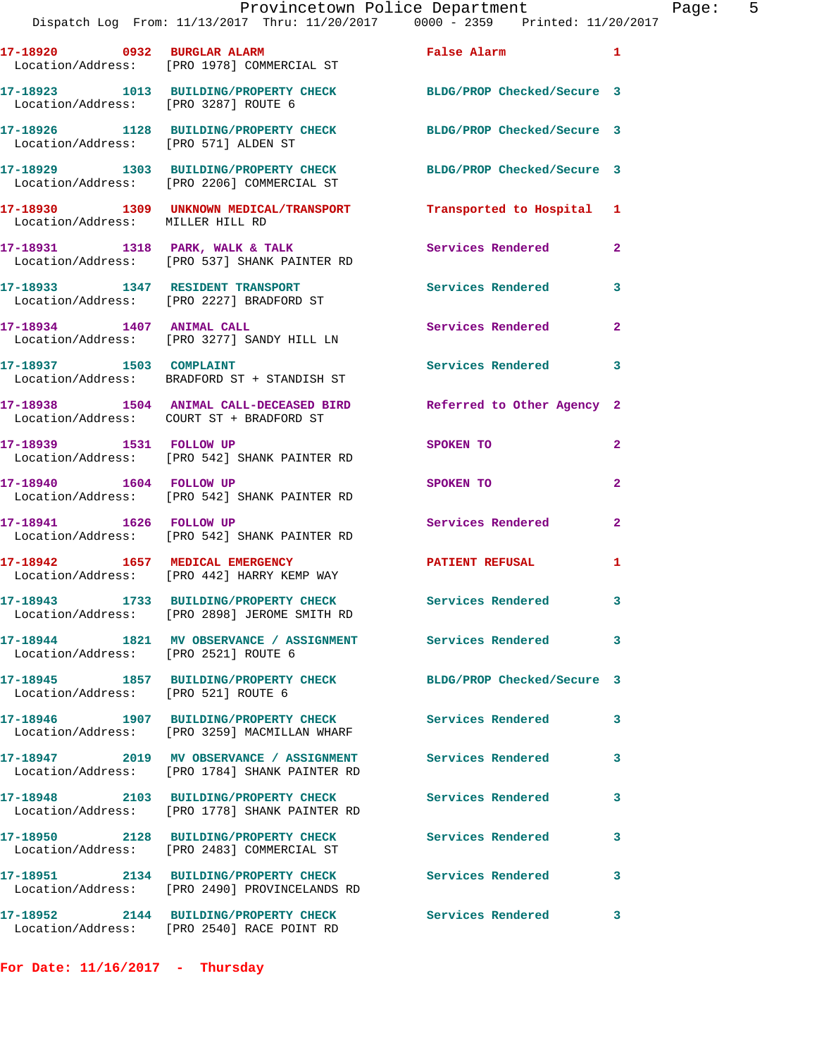|                                      | Provincetown Police Department<br>Dispatch Log From: 11/13/2017 Thru: 11/20/2017 0000 - 2359 Printed: 11/20/2017 |                            |                |
|--------------------------------------|------------------------------------------------------------------------------------------------------------------|----------------------------|----------------|
|                                      | 17-18920 0932 BURGLAR ALARM <b>False Alarm</b><br>Location/Address: [PRO 1978] COMMERCIAL ST                     |                            | 1              |
| Location/Address: [PRO 3287] ROUTE 6 | 17-18923 1013 BUILDING/PROPERTY CHECK BLDG/PROP Checked/Secure 3                                                 |                            |                |
| Location/Address: [PRO 571] ALDEN ST | 17-18926 1128 BUILDING/PROPERTY CHECK BLDG/PROP Checked/Secure 3                                                 |                            |                |
|                                      | 17-18929 1303 BUILDING/PROPERTY CHECK BLDG/PROP Checked/Secure 3<br>Location/Address: [PRO 2206] COMMERCIAL ST   |                            |                |
| Location/Address: MILLER HILL RD     | 17-18930 1309 UNKNOWN MEDICAL/TRANSPORT Transported to Hospital 1                                                |                            |                |
|                                      | 17-18931 1318 PARK, WALK & TALK<br>Location/Address: [PRO 537] SHANK PAINTER RD                                  | Services Rendered          | $\overline{a}$ |
|                                      | 17-18933 1347 RESIDENT TRANSPORT<br>Location/Address: [PRO 2227] BRADFORD ST                                     | <b>Services Rendered</b>   | 3              |
| 17-18934 1407 ANIMAL CALL            | Location/Address: [PRO 3277] SANDY HILL LN                                                                       | Services Rendered          | $\mathbf{2}$   |
|                                      | 17-18937 1503 COMPLAINT<br>Location/Address: BRADFORD ST + STANDISH ST                                           | <b>Services Rendered</b>   | 3              |
|                                      | 17-18938 1504 ANIMAL CALL-DECEASED BIRD<br>Location/Address: COURT ST + BRADFORD ST                              | Referred to Other Agency 2 |                |
| 17-18939 1531 FOLLOW UP              | Location/Address: [PRO 542] SHANK PAINTER RD                                                                     | SPOKEN TO                  | 2              |
| 17-18940   1604   FOLLOW UP          | Location/Address: [PRO 542] SHANK PAINTER RD                                                                     | SPOKEN TO                  | 2              |
| 17-18941 1626 FOLLOW UP              | Location/Address: [PRO 542] SHANK PAINTER RD                                                                     | <b>Services Rendered</b>   | $\overline{a}$ |
|                                      | 17-18942 1657 MEDICAL EMERGENCY<br>Location/Address: [PRO 442] HARRY KEMP WAY                                    | <b>PATIENT REFUSAL</b>     | 1              |
|                                      | 17-18943 1733 BUILDING/PROPERTY CHECK<br>Location/Address: [PRO 2898] JEROME SMITH RD                            | Services Rendered          | 3              |
| Location/Address: [PRO 2521] ROUTE 6 | 17-18944 1821 MV OBSERVANCE / ASSIGNMENT Services Rendered                                                       |                            | 3              |
| Location/Address: [PRO 521] ROUTE 6  | 17-18945 1857 BUILDING/PROPERTY CHECK                                                                            | BLDG/PROP Checked/Secure 3 |                |
|                                      | 17-18946 1907 BUILDING/PROPERTY CHECK<br>Location/Address: [PRO 3259] MACMILLAN WHARF                            | Services Rendered          | 3              |
|                                      | 17-18947 2019 MV OBSERVANCE / ASSIGNMENT<br>Location/Address: [PRO 1784] SHANK PAINTER RD                        | <b>Services Rendered</b>   | 3              |
|                                      | 17-18948 2103 BUILDING/PROPERTY CHECK<br>Location/Address: [PRO 1778] SHANK PAINTER RD                           | Services Rendered          | 3              |
|                                      | 17-18950 2128 BUILDING/PROPERTY CHECK<br>Location/Address: [PRO 2483] COMMERCIAL ST                              | Services Rendered          | 3              |
|                                      | 17-18951 2134 BUILDING/PROPERTY CHECK<br>Location/Address: [PRO 2490] PROVINCELANDS RD                           | Services Rendered          | 3              |
| 17-18952                             | 2144 BUILDING/PROPERTY CHECK                                                                                     | <b>Services Rendered</b>   | 3              |

**For Date: 11/16/2017 - Thursday**

Location/Address: [PRO 2540] RACE POINT RD

Page: 5<br>017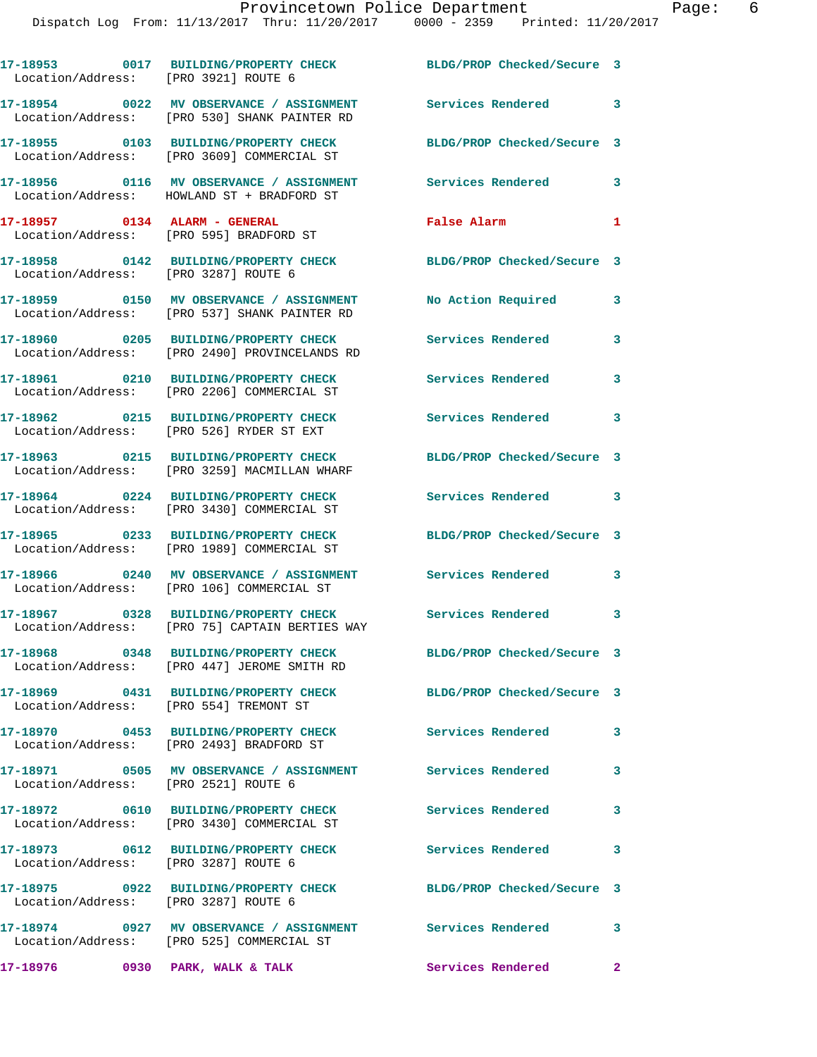|                               | 17-18953 0017 BUILDING/PROPERTY CHECK<br>Location/Address: [PRO 3921] ROUTE 6                              | BLDG/PROP Checked/Secure 3 |                         |
|-------------------------------|------------------------------------------------------------------------------------------------------------|----------------------------|-------------------------|
|                               | 17-18954 0022 MV OBSERVANCE / ASSIGNMENT Services Rendered<br>Location/Address: [PRO 530] SHANK PAINTER RD |                            | $\overline{\mathbf{3}}$ |
|                               | 17-18955 0103 BUILDING/PROPERTY CHECK<br>Location/Address: [PRO 3609] COMMERCIAL ST                        | BLDG/PROP Checked/Secure 3 |                         |
|                               | 17-18956 0116 MV OBSERVANCE / ASSIGNMENT<br>Location/Address: HOWLAND ST + BRADFORD ST                     | <b>Services Rendered</b>   | $\mathbf{3}$            |
| 17-18957 0134 ALARM - GENERAL | Location/Address: [PRO 595] BRADFORD ST                                                                    | False Alarm                | $\mathbf{1}$            |
|                               | 17-18958 0142 BUILDING/PROPERTY CHECK<br>Location/Address: [PRO 3287] ROUTE 6                              | BLDG/PROP Checked/Secure 3 |                         |
|                               | 17-18959 0150 MV OBSERVANCE / ASSIGNMENT<br>Location/Address: [PRO 537] SHANK PAINTER RD                   | No Action Required 3       |                         |
|                               | 17-18960 0205 BUILDING/PROPERTY CHECK<br>Location/Address: [PRO 2490] PROVINCELANDS RD                     | <b>Services Rendered</b>   | 3                       |
|                               | 17-18961 0210 BUILDING/PROPERTY CHECK<br>Location/Address: [PRO 2206] COMMERCIAL ST                        | Services Rendered          | 3                       |
|                               |                                                                                                            | <b>Services Rendered</b>   | 3                       |
|                               | 17-18963 0215 BUILDING/PROPERTY CHECK<br>Location/Address: [PRO 3259] MACMILLAN WHARF                      | BLDG/PROP Checked/Secure 3 |                         |
|                               | 17-18964 0224 BUILDING/PROPERTY CHECK<br>Location/Address: [PRO 3430] COMMERCIAL ST                        | Services Rendered          | 3                       |
|                               | 17-18965 0233 BUILDING/PROPERTY CHECK<br>Location/Address: [PRO 1989] COMMERCIAL ST                        | BLDG/PROP Checked/Secure 3 |                         |
|                               | 17-18966 0240 MV OBSERVANCE / ASSIGNMENT<br>Location/Address: [PRO 106] COMMERCIAL ST                      | Services Rendered          | $\mathbf{3}$            |
|                               | 17-18967 0328 BUILDING/PROPERTY CHECK Services Rendered<br>Location/Address: [PRO 75] CAPTAIN BERTIES WAY  |                            | 3                       |
|                               | 17-18968 0348 BUILDING/PROPERTY CHECK<br>Location/Address: [PRO 447] JEROME SMITH RD                       | BLDG/PROP Checked/Secure 3 |                         |
|                               | 17-18969 0431 BUILDING/PROPERTY CHECK BLDG/PROP Checked/Secure 3<br>Location/Address: [PRO 554] TREMONT ST |                            |                         |
|                               | 17-18970 0453 BUILDING/PROPERTY CHECK<br>Location/Address: [PRO 2493] BRADFORD ST                          | <b>Services Rendered</b>   | $\overline{\mathbf{3}}$ |
|                               | 17-18971 0505 MV OBSERVANCE / ASSIGNMENT Services Rendered<br>Location/Address: [PRO 2521] ROUTE 6         |                            | $\overline{\mathbf{3}}$ |
|                               |                                                                                                            | <b>Services Rendered</b>   | $\overline{\mathbf{3}}$ |
|                               | 17-18973 0612 BUILDING/PROPERTY CHECK<br>Location/Address: [PRO 3287] ROUTE 6                              | Services Rendered          | $\mathbf{3}$            |
|                               | 17-18975 0922 BUILDING/PROPERTY CHECK<br>Location/Address: [PRO 3287] ROUTE 6                              | BLDG/PROP Checked/Secure 3 |                         |
|                               | 17-18974 0927 MV OBSERVANCE / ASSIGNMENT Services Rendered<br>Location/Address: [PRO 525] COMMERCIAL ST    |                            | $\overline{\mathbf{3}}$ |
| 17-18976                      | 0930 PARK, WALK & TALK                                                                                     | Services Rendered          | $\mathbf{2}$            |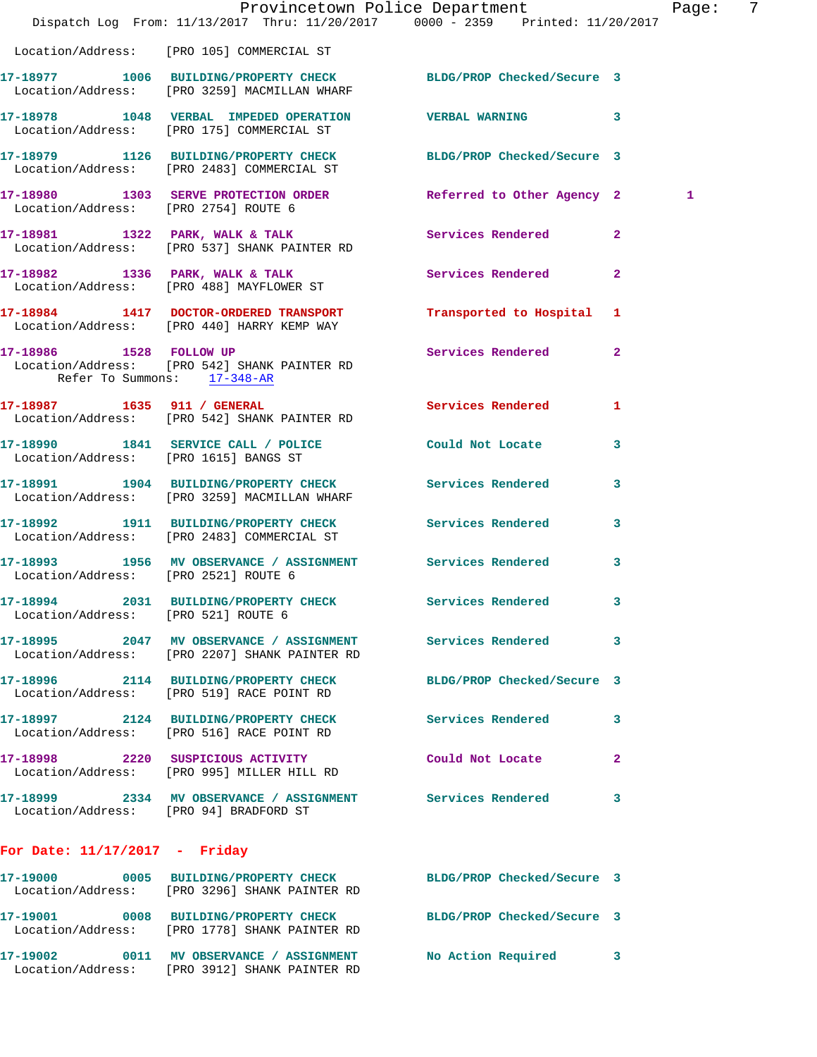|                                        | Dispatch Log From: 11/13/2017 Thru: 11/20/2017 0000 - 2359 Printed: 11/20/2017                                    | Provincetown Police Department Page: 7 |              |   |  |
|----------------------------------------|-------------------------------------------------------------------------------------------------------------------|----------------------------------------|--------------|---|--|
|                                        | Location/Address: [PRO 105] COMMERCIAL ST                                                                         |                                        |              |   |  |
|                                        | 17-18977 1006 BUILDING/PROPERTY CHECK BLDG/PROP Checked/Secure 3<br>Location/Address: [PRO 3259] MACMILLAN WHARF  |                                        |              |   |  |
|                                        | 17-18978 1048 VERBAL IMPEDED OPERATION VERBAL WARNING 3<br>Location/Address: [PRO 175] COMMERCIAL ST              |                                        |              |   |  |
|                                        | 17-18979 1126 BUILDING/PROPERTY CHECK BLDG/PROP Checked/Secure 3<br>Location/Address: [PRO 2483] COMMERCIAL ST    |                                        |              |   |  |
| Location/Address: [PRO 2754] ROUTE 6   | 17-18980 1303 SERVE PROTECTION ORDER Referred to Other Agency 2                                                   |                                        |              | 1 |  |
|                                        | 17-18981 1322 PARK, WALK & TALK 1988 Services Rendered 2<br>Location/Address: [PRO 537] SHANK PAINTER RD          |                                        |              |   |  |
|                                        | 17-18982 1336 PARK, WALK & TALK<br>Location/Address: [PRO 488] MAYFLOWER ST                                       | Services Rendered 2                    |              |   |  |
|                                        | 17-18984 1417 DOCTOR-ORDERED TRANSPORT Transported to Hospital 1<br>Location/Address: [PRO 440] HARRY KEMP WAY    |                                        |              |   |  |
| Refer To Summons: 17-348-AR            | 17-18986 1528 FOLLOW UP<br>Location/Address: [PRO 542] SHANK PAINTER RD                                           | Services Rendered 2                    |              |   |  |
|                                        | 17-18987 1635 911 / GENERAL<br>Location/Address: [PRO 542] SHANK PAINTER RD                                       | Services Rendered                      | 1            |   |  |
|                                        | 17-18990 1841 SERVICE CALL / POLICE Could Not Locate 3<br>Location/Address: [PRO 1615] BANGS ST                   |                                        |              |   |  |
|                                        | 17-18991 1904 BUILDING/PROPERTY CHECK<br>Location/Address: [PRO 3259] MACMILLAN WHARF                             | Services Rendered                      | 3            |   |  |
|                                        | 17-18992 1911 BUILDING/PROPERTY CHECK Services Rendered 3<br>Location/Address: [PRO 2483] COMMERCIAL ST           |                                        |              |   |  |
| Location/Address: [PRO 2521] ROUTE 6   | 17-18993 1956 MV OBSERVANCE / ASSIGNMENT Services Rendered 3                                                      |                                        |              |   |  |
| Location/Address: [PRO 521] ROUTE 6    | 17-18994 2031 BUILDING/PROPERTY CHECK Services Rendered 3                                                         |                                        |              |   |  |
|                                        | 17-18995 2047 MV OBSERVANCE / ASSIGNMENT Services Rendered<br>Location/Address: [PRO 2207] SHANK PAINTER RD       |                                        | $\mathbf{3}$ |   |  |
|                                        | 17-18996 2114 BUILDING/PROPERTY CHECK BLDG/PROP Checked/Secure 3<br>Location/Address: [PRO 519] RACE POINT RD     |                                        |              |   |  |
|                                        | 17-18997 2124 BUILDING/PROPERTY CHECK Services Rendered<br>Location/Address: [PRO 516] RACE POINT RD              |                                        | -3           |   |  |
|                                        | 17-18998 2220 SUSPICIOUS ACTIVITY Could Not Locate 2<br>Location/Address: [PRO 995] MILLER HILL RD                |                                        |              |   |  |
| Location/Address: [PRO 94] BRADFORD ST | 17-18999 2334 MV OBSERVANCE / ASSIGNMENT Services Rendered                                                        |                                        | 3            |   |  |
| For Date: $11/17/2017$ - Friday        |                                                                                                                   |                                        |              |   |  |
|                                        | 17-19000 0005 BUILDING/PROPERTY CHECK BLDG/PROP Checked/Secure 3<br>Location/Address: [PRO 3296] SHANK PAINTER RD |                                        |              |   |  |
|                                        | 17-19001 0008 BUILDING/PROPERTY CHECK BLDG/PROP Checked/Secure 3<br>Location/Address: [PRO 1778] SHANK PAINTER RD |                                        |              |   |  |
|                                        | 17-19002 0011 MV OBSERVANCE / ASSIGNMENT<br>Location/Address: [PRO 3912] SHANK PAINTER RD                         | No Action Required 3                   |              |   |  |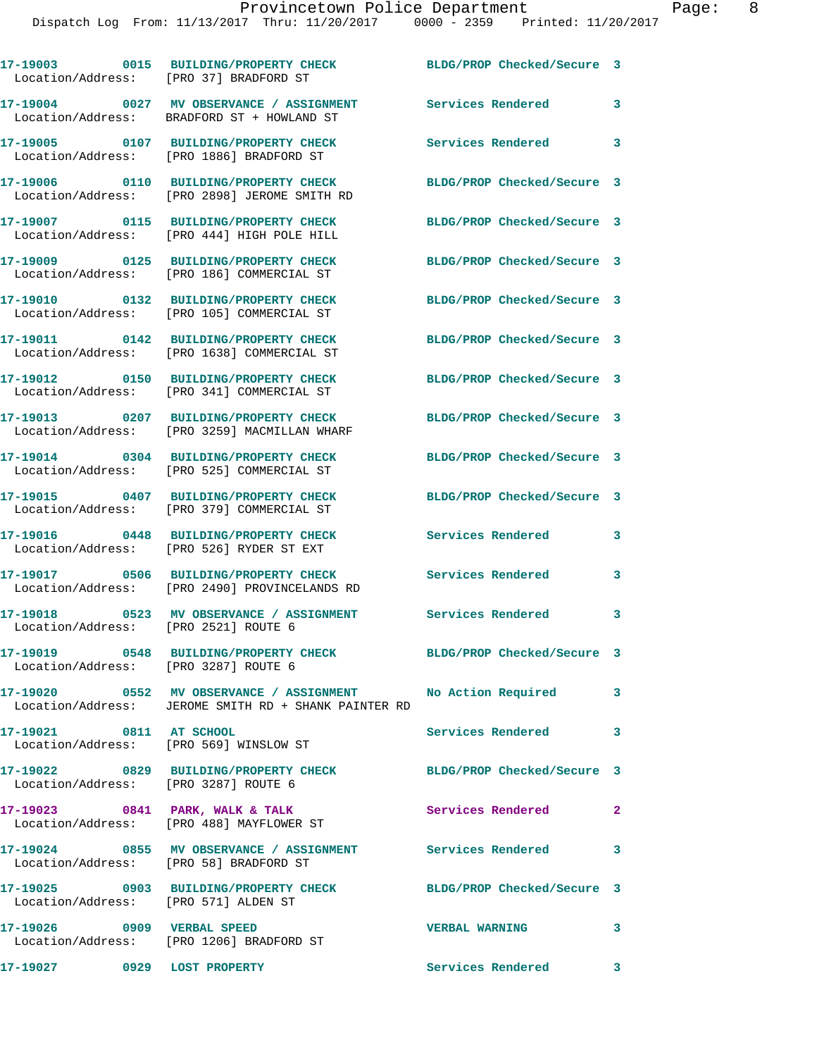| Location/Address: [PRO 37] BRADFORD ST | 17-19003 0015 BUILDING/PROPERTY CHECK                                                                                 | BLDG/PROP Checked/Secure 3 |                            |
|----------------------------------------|-----------------------------------------------------------------------------------------------------------------------|----------------------------|----------------------------|
|                                        | 17-19004 0027 MV OBSERVANCE / ASSIGNMENT<br>Location/Address: BRADFORD ST + HOWLAND ST                                | Services Rendered          | 3                          |
|                                        | 17-19005 0107 BUILDING/PROPERTY CHECK<br>Location/Address: [PRO 1886] BRADFORD ST                                     | Services Rendered 3        |                            |
|                                        | 17-19006 0110 BUILDING/PROPERTY CHECK<br>Location/Address: [PRO 2898] JEROME SMITH RD                                 | BLDG/PROP Checked/Secure 3 |                            |
|                                        | 17-19007 0115 BUILDING/PROPERTY CHECK<br>Location/Address: [PRO 444] HIGH POLE HILL                                   | BLDG/PROP Checked/Secure 3 |                            |
|                                        | 17-19009 0125 BUILDING/PROPERTY CHECK<br>Location/Address: [PRO 186] COMMERCIAL ST                                    | BLDG/PROP Checked/Secure 3 |                            |
|                                        | 17-19010 0132 BUILDING/PROPERTY CHECK<br>Location/Address: [PRO 105] COMMERCIAL ST                                    | BLDG/PROP Checked/Secure 3 |                            |
|                                        | 17-19011 0142 BUILDING/PROPERTY CHECK<br>Location/Address: [PRO 1638] COMMERCIAL ST                                   | BLDG/PROP Checked/Secure 3 |                            |
|                                        | 17-19012 0150 BUILDING/PROPERTY CHECK<br>Location/Address: [PRO 341] COMMERCIAL ST                                    | BLDG/PROP Checked/Secure 3 |                            |
|                                        | 17-19013 0207 BUILDING/PROPERTY CHECK<br>Location/Address: [PRO 3259] MACMILLAN WHARF                                 | BLDG/PROP Checked/Secure 3 |                            |
|                                        | 17-19014 0304 BUILDING/PROPERTY CHECK<br>Location/Address: [PRO 525] COMMERCIAL ST                                    | BLDG/PROP Checked/Secure 3 |                            |
|                                        | 17-19015 0407 BUILDING/PROPERTY CHECK<br>Location/Address: [PRO 379] COMMERCIAL ST                                    | BLDG/PROP Checked/Secure 3 |                            |
|                                        | 17-19016 0448 BUILDING/PROPERTY CHECK<br>Location/Address: [PRO 526] RYDER ST EXT                                     | Services Rendered          | 3                          |
|                                        | 17-19017 0506 BUILDING/PROPERTY CHECK Services Rendered<br>Location/Address: [PRO 2490] PROVINCELANDS RD              |                            | 3                          |
| Location/Address: [PRO 2521] ROUTE 6   | 17-19018 0523 MV OBSERVANCE / ASSIGNMENT                                                                              | <b>Services Rendered</b>   | 3                          |
| Location/Address: [PRO 3287] ROUTE 6   | 17-19019 0548 BUILDING/PROPERTY CHECK BLDG/PROP Checked/Secure 3                                                      |                            |                            |
|                                        | 17-19020 0552 MV OBSERVANCE / ASSIGNMENT No Action Required 3<br>Location/Address: JEROME SMITH RD + SHANK PAINTER RD |                            |                            |
| 17-19021 0811 AT SCHOOL                | Location/Address: [PRO 569] WINSLOW ST                                                                                | Services Rendered          | $\overline{\phantom{a}}$ 3 |
| Location/Address: [PRO 3287] ROUTE 6   | 17-19022 0829 BUILDING/PROPERTY CHECK BLDG/PROP Checked/Secure 3                                                      |                            |                            |
|                                        | 17-19023 0841 PARK, WALK & TALK<br>Location/Address: [PRO 488] MAYFLOWER ST                                           | Services Rendered          | $\sim$ 2                   |
| Location/Address: [PRO 58] BRADFORD ST | 17-19024 0855 MV OBSERVANCE / ASSIGNMENT Services Rendered                                                            |                            | $\overline{\mathbf{3}}$    |
| Location/Address: [PRO 571] ALDEN ST   | 17-19025 0903 BUILDING/PROPERTY CHECK                                                                                 | BLDG/PROP Checked/Secure 3 |                            |
|                                        | 17-19026 0909 VERBAL SPEED<br>Location/Address: [PRO 1206] BRADFORD ST                                                | <b>VERBAL WARNING</b>      | $\overline{\mathbf{3}}$    |
| 17-19027 0929 LOST PROPERTY            |                                                                                                                       | Services Rendered 3        |                            |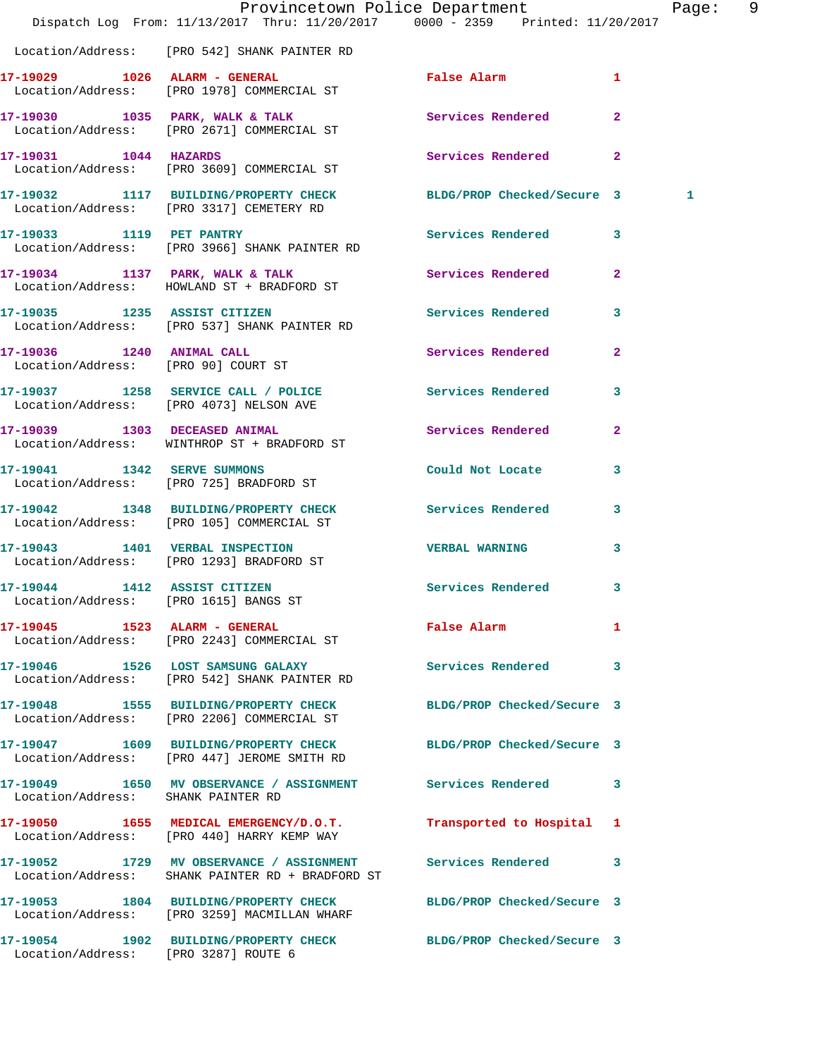|                                                                  | Dispatch Log From: 11/13/2017 Thru: 11/20/2017 0000 - 2359 Printed: 11/20/2017                                   | Provincetown Police Department |                | Page: | - 9 |
|------------------------------------------------------------------|------------------------------------------------------------------------------------------------------------------|--------------------------------|----------------|-------|-----|
|                                                                  | Location/Address: [PRO 542] SHANK PAINTER RD                                                                     |                                |                |       |     |
|                                                                  | 17-19029 1026 ALARM - GENERAL<br>Location/Address: [PRO 1978] COMMERCIAL ST                                      | False Alarm                    | 1              |       |     |
|                                                                  | 17-19030 1035 PARK, WALK & TALK<br>Location/Address: [PRO 2671] COMMERCIAL ST                                    | <b>Services Rendered</b>       | $\mathbf{2}$   |       |     |
| 17-19031 1044 HAZARDS                                            | Location/Address: [PRO 3609] COMMERCIAL ST                                                                       | Services Rendered 2            |                |       |     |
|                                                                  | 17-19032 1117 BUILDING/PROPERTY CHECK BLDG/PROP Checked/Secure 3<br>Location/Address: [PRO 3317] CEMETERY RD     |                                |                | 1     |     |
|                                                                  | 17-19033 1119 PET PANTRY<br>Location/Address: [PRO 3966] SHANK PAINTER RD                                        | Services Rendered 3            |                |       |     |
|                                                                  | 17-19034 1137 PARK, WALK & TALK<br>Location/Address: HOWLAND ST + BRADFORD ST                                    | Services Rendered              | $\overline{2}$ |       |     |
|                                                                  | 17-19035 1235 ASSIST CITIZEN<br>Location/Address: [PRO 537] SHANK PAINTER RD                                     | Services Rendered 3            |                |       |     |
| 17-19036 1240 ANIMAL CALL<br>Location/Address: [PRO 90] COURT ST |                                                                                                                  | Services Rendered              | $\mathbf{2}$   |       |     |
|                                                                  | 17-19037 1258 SERVICE CALL / POLICE Services Rendered 3<br>Location/Address: [PRO 4073] NELSON AVE               |                                |                |       |     |
|                                                                  | 17-19039 1303 DECEASED ANIMAL<br>Location/Address: WINTHROP ST + BRADFORD ST                                     | Services Rendered              | $\mathbf{2}$   |       |     |
|                                                                  | 17-19041 1342 SERVE SUMMONS<br>Location/Address: [PRO 725] BRADFORD ST                                           | Could Not Locate               | 3              |       |     |
|                                                                  | 17-19042 1348 BUILDING/PROPERTY CHECK<br>Location/Address: [PRO 105] COMMERCIAL ST                               | Services Rendered 3            |                |       |     |
|                                                                  | 17-19043 1401 VERBAL INSPECTION<br>Location/Address: [PRO 1293] BRADFORD ST                                      | <b>VERBAL WARNING</b>          | 3              |       |     |
| Location/Address: [PRO 1615] BANGS ST                            | 17-19044 1412 ASSIST CITIZEN                                                                                     | Services Rendered 3            |                |       |     |
|                                                                  | 17-19045   1523   ALARM - GENERAL<br>Location/Address: [PRO 2243] COMMERCIAL ST                                  | False Alarm                    | -1             |       |     |
|                                                                  | 17-19046 1526 LOST SAMSUNG GALAXY Services Rendered 3<br>Location/Address: [PRO 542] SHANK PAINTER RD            |                                |                |       |     |
|                                                                  | 17-19048 1555 BUILDING/PROPERTY CHECK BLDG/PROP Checked/Secure 3<br>Location/Address: [PRO 2206] COMMERCIAL ST   |                                |                |       |     |
|                                                                  | 17-19047 1609 BUILDING/PROPERTY CHECK<br>Location/Address: [PRO 447] JEROME SMITH RD                             | BLDG/PROP Checked/Secure 3     |                |       |     |
| Location/Address: SHANK PAINTER RD                               | 17-19049 1650 MV OBSERVANCE / ASSIGNMENT Services Rendered 3                                                     |                                |                |       |     |
|                                                                  | 17-19050 1655 MEDICAL EMERGENCY/D.O.T.<br>Location/Address: [PRO 440] HARRY KEMP WAY                             | Transported to Hospital 1      |                |       |     |
|                                                                  | 17-19052 1729 MV OBSERVANCE / ASSIGNMENT Services Rendered 3<br>Location/Address: SHANK PAINTER RD + BRADFORD ST |                                |                |       |     |
|                                                                  | 17-19053 1804 BUILDING/PROPERTY CHECK BLDG/PROP Checked/Secure 3<br>Location/Address: [PRO 3259] MACMILLAN WHARF |                                |                |       |     |
| Location/Address: [PRO 3287] ROUTE 6                             | 17-19054 1902 BUILDING/PROPERTY CHECK BLDG/PROP Checked/Secure 3                                                 |                                |                |       |     |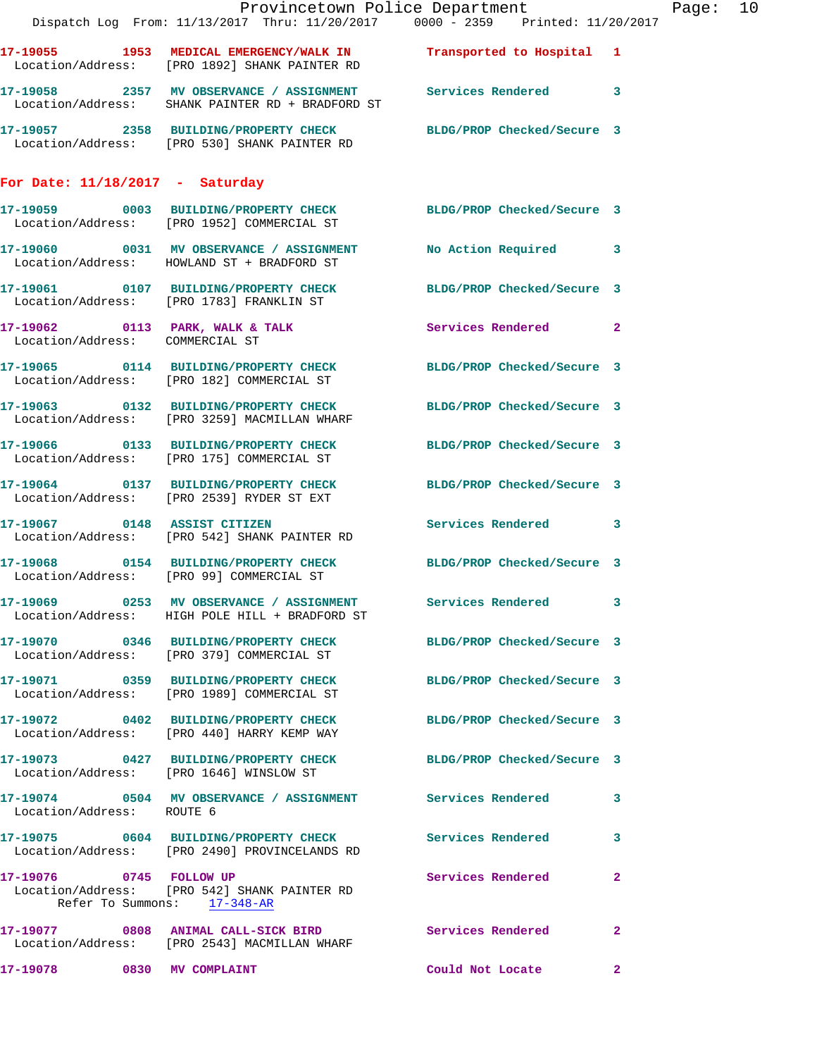|                                   | Provincetown Police Department<br>Dispatch Log From: 11/13/2017 Thru: 11/20/2017 0000 - 2359 Printed: 11/20/2017   |                            |              |
|-----------------------------------|--------------------------------------------------------------------------------------------------------------------|----------------------------|--------------|
|                                   | 17-19055 1953 MEDICAL EMERGENCY/WALK IN Transported to Hospital 1<br>Location/Address: [PRO 1892] SHANK PAINTER RD |                            |              |
|                                   | 17-19058 2357 MV OBSERVANCE / ASSIGNMENT Services Rendered 3<br>Location/Address: SHANK PAINTER RD + BRADFORD ST   |                            |              |
|                                   | 17-19057 2358 BUILDING/PROPERTY CHECK BLDG/PROP Checked/Secure 3<br>Location/Address: [PRO 530] SHANK PAINTER RD   |                            |              |
| For Date: $11/18/2017$ - Saturday |                                                                                                                    |                            |              |
|                                   | 17-19059 0003 BUILDING/PROPERTY CHECK BLDG/PROP Checked/Secure 3<br>Location/Address: [PRO 1952] COMMERCIAL ST     |                            |              |
|                                   | 17-19060 0031 MV OBSERVANCE / ASSIGNMENT<br>Location/Address: HOWLAND ST + BRADFORD ST                             | No Action Required         | 3            |
|                                   | 17-19061 0107 BUILDING/PROPERTY CHECK BLDG/PROP Checked/Secure 3<br>Location/Address: [PRO 1783] FRANKLIN ST       |                            |              |
| Location/Address: COMMERCIAL ST   | 17-19062 0113 PARK, WALK & TALK                                                                                    | Services Rendered          | $\mathbf{2}$ |
|                                   | 17-19065 0114 BUILDING/PROPERTY CHECK BLDG/PROP Checked/Secure 3<br>Location/Address: [PRO 182] COMMERCIAL ST      |                            |              |
|                                   | 17-19063 0132 BUILDING/PROPERTY CHECK<br>Location/Address: [PRO 3259] MACMILLAN WHARF                              | BLDG/PROP Checked/Secure 3 |              |
|                                   | 17-19066 0133 BUILDING/PROPERTY CHECK<br>Location/Address: [PRO 175] COMMERCIAL ST                                 | BLDG/PROP Checked/Secure 3 |              |
|                                   | 17-19064 0137 BUILDING/PROPERTY CHECK<br>Location/Address: [PRO 2539] RYDER ST EXT                                 | BLDG/PROP Checked/Secure 3 |              |
|                                   | 17-19067 0148 ASSIST CITIZEN<br>Location/Address: [PRO 542] SHANK PAINTER RD                                       | Services Rendered 3        |              |
|                                   | 17-19068 0154 BUILDING/PROPERTY CHECK<br>Location/Address: [PRO 99] COMMERCIAL ST                                  | BLDG/PROP Checked/Secure 3 |              |
|                                   | 17-19069 0253 MV OBSERVANCE / ASSIGNMENT<br>Location/Address: HIGH POLE HILL + BRADFORD ST                         | Services Rendered          | 3            |
|                                   | 17-19070 0346 BUILDING/PROPERTY CHECK BLDG/PROP Checked/Secure 3<br>Location/Address: [PRO 379] COMMERCIAL ST      |                            |              |
|                                   | 17-19071 0359 BUILDING/PROPERTY CHECK<br>Location/Address: [PRO 1989] COMMERCIAL ST                                | BLDG/PROP Checked/Secure 3 |              |
|                                   | 17-19072 0402 BUILDING/PROPERTY CHECK<br>Location/Address: [PRO 440] HARRY KEMP WAY                                | BLDG/PROP Checked/Secure 3 |              |
|                                   | 17-19073 0427 BUILDING/PROPERTY CHECK<br>Location/Address: [PRO 1646] WINSLOW ST                                   | BLDG/PROP Checked/Secure 3 |              |
| Location/Address: ROUTE 6         | 17-19074    0504 MV OBSERVANCE / ASSIGNMENT Services Rendered                                                      |                            | 3            |
|                                   | 17-19075 0604 BUILDING/PROPERTY CHECK<br>Location/Address: [PRO 2490] PROVINCELANDS RD                             | <b>Services Rendered</b>   | 3            |
| 17-19076 0745 FOLLOW UP           | Location/Address: [PRO 542] SHANK PAINTER RD<br>Refer To Summons: 17-348-AR                                        | Services Rendered          | $\mathbf{2}$ |
|                                   | 17-19077 0808 ANIMAL CALL-SICK BIRD<br>Location/Address: [PRO 2543] MACMILLAN WHARF                                | Services Rendered          | $\mathbf{2}$ |
| 17-19078                          | 0830 MV COMPLAINT                                                                                                  | Could Not Locate           | 2            |

Page: 10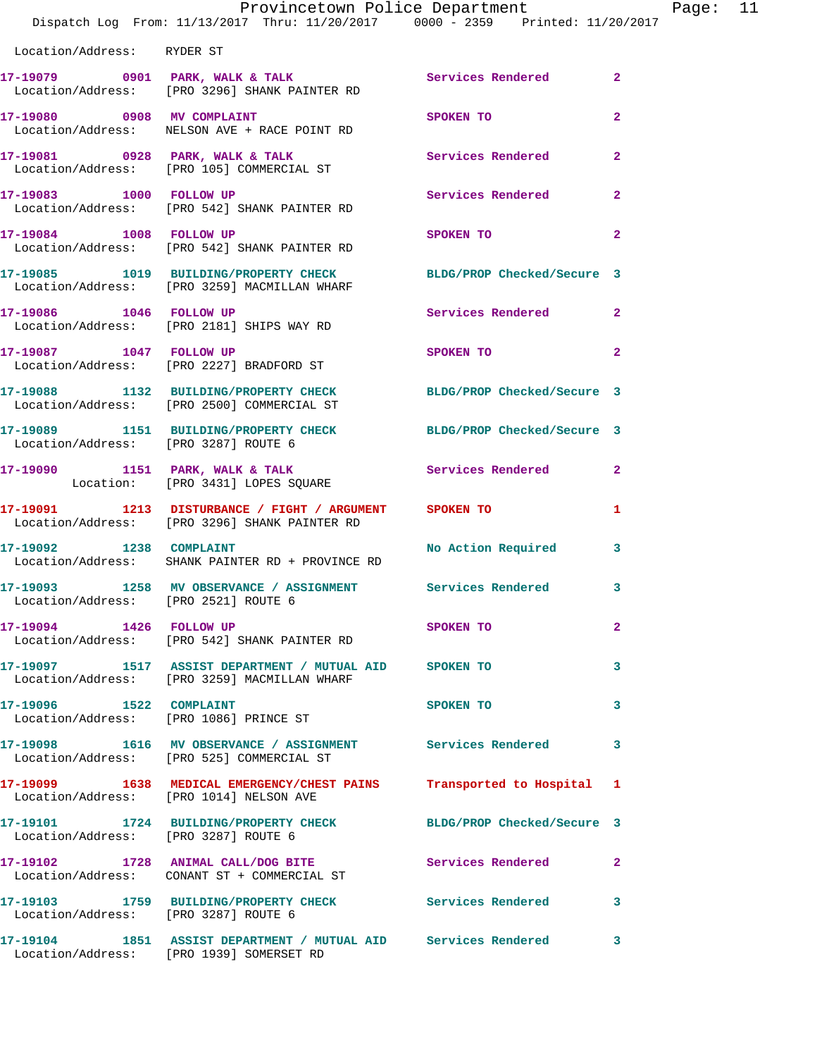|                                      | Provincetown Police Department<br>Dispatch Log From: 11/13/2017 Thru: 11/20/2017 0000 - 2359 Printed: 11/20/2017 |                                                                                                               | Page: 11     |  |
|--------------------------------------|------------------------------------------------------------------------------------------------------------------|---------------------------------------------------------------------------------------------------------------|--------------|--|
| Location/Address: RYDER ST           |                                                                                                                  |                                                                                                               |              |  |
|                                      | 17-19079 0901 PARK, WALK & TALK 3 Services Rendered 2<br>Location/Address: [PRO 3296] SHANK PAINTER RD           |                                                                                                               |              |  |
|                                      | 17-19080 0908 MV COMPLAINT<br>Location/Address: NELSON AVE + RACE POINT RD                                       | SPOKEN TO                                                                                                     | $\mathbf{2}$ |  |
|                                      | 17-19081 0928 PARK, WALK & TALK 3 Services Rendered<br>Location/Address: [PRO 105] COMMERCIAL ST                 |                                                                                                               | $\mathbf{2}$ |  |
|                                      | 17-19083 1000 FOLLOW UP<br>Location/Address: [PRO 542] SHANK PAINTER RD                                          | Services Rendered 2                                                                                           |              |  |
|                                      | 17-19084 1008 FOLLOW UP<br>Location/Address: [PRO 542] SHANK PAINTER RD                                          | SPOKEN TO DESCRIPTION OF REAL PROPERTY.                                                                       | $\mathbf{2}$ |  |
|                                      | 17-19085 1019 BUILDING/PROPERTY CHECK BLDG/PROP Checked/Secure 3<br>Location/Address: [PRO 3259] MACMILLAN WHARF |                                                                                                               |              |  |
|                                      | 17-19086 1046 FOLLOW UP<br>Location/Address: [PRO 2181] SHIPS WAY RD                                             | Services Rendered 2                                                                                           |              |  |
|                                      | 17-19087 1047 FOLLOW UP<br>Location/Address: [PRO 2227] BRADFORD ST                                              | SPOKEN TO AND TO A STATE OF THE STATE OF THE STATE OF THE STATE OF THE STATE OF THE STATE OF THE STATE OF THE | $\mathbf{2}$ |  |
|                                      | 17-19088 1132 BUILDING/PROPERTY CHECK BLDG/PROP Checked/Secure 3<br>Location/Address: [PRO 2500] COMMERCIAL ST   |                                                                                                               |              |  |
| Location/Address: [PRO 3287] ROUTE 6 | 17-19089 1151 BUILDING/PROPERTY CHECK BLDG/PROP Checked/Secure 3                                                 |                                                                                                               |              |  |
|                                      | 17-19090 1151 PARK, WALK & TALK 1999 Services Rendered 2<br>Location: [PRO 3431] LOPES SQUARE                    |                                                                                                               |              |  |
|                                      | 17-19091 1213 DISTURBANCE / FIGHT / ARGUMENT SPOKEN TO<br>Location/Address: [PRO 3296] SHANK PAINTER RD          |                                                                                                               | 1            |  |
|                                      | 17-19092 1238 COMPLAINT<br>Location/Address: SHANK PAINTER RD + PROVINCE RD                                      | No Action Required 3                                                                                          |              |  |
| Location/Address: [PRO 2521] ROUTE 6 | 17-19093               1258    MV  OBSERVANCE  /  ASSIGNMENT                Services  Rendered                3  |                                                                                                               |              |  |
|                                      | 17-19094 1426 FOLLOW UP<br>Location/Address: [PRO 542] SHANK PAINTER RD                                          | SPOKEN TO                                                                                                     | $\mathbf{2}$ |  |
|                                      | 17-19097 1517 ASSIST DEPARTMENT / MUTUAL AID SPOKEN TO<br>Location/Address: [PRO 3259] MACMILLAN WHARF           |                                                                                                               | 3            |  |
| 17-19096 1522 COMPLAINT              | Location/Address: [PRO 1086] PRINCE ST                                                                           | SPOKEN TO                                                                                                     | 3            |  |
|                                      | 17-19098 1616 MV OBSERVANCE / ASSIGNMENT Services Rendered<br>Location/Address: [PRO 525] COMMERCIAL ST          |                                                                                                               | 3            |  |
|                                      | 17-19099 1638 MEDICAL EMERGENCY/CHEST PAINS Transported to Hospital 1<br>Location/Address: [PRO 1014] NELSON AVE |                                                                                                               |              |  |
| Location/Address: [PRO 3287] ROUTE 6 | 17-19101 1724 BUILDING/PROPERTY CHECK BLDG/PROP Checked/Secure 3                                                 |                                                                                                               |              |  |
|                                      | 17-19102 1728 ANIMAL CALL/DOG BITE<br>Location/Address: CONANT ST + COMMERCIAL ST                                | <b>Services Rendered</b> 2                                                                                    |              |  |
| Location/Address: [PRO 3287] ROUTE 6 | 17-19103 1759 BUILDING/PROPERTY CHECK Services Rendered                                                          |                                                                                                               | 3            |  |
|                                      | 17-19104 1851 ASSIST DEPARTMENT / MUTUAL AID Services Rendered 3<br>Location/Address: [PRO 1939] SOMERSET RD     |                                                                                                               |              |  |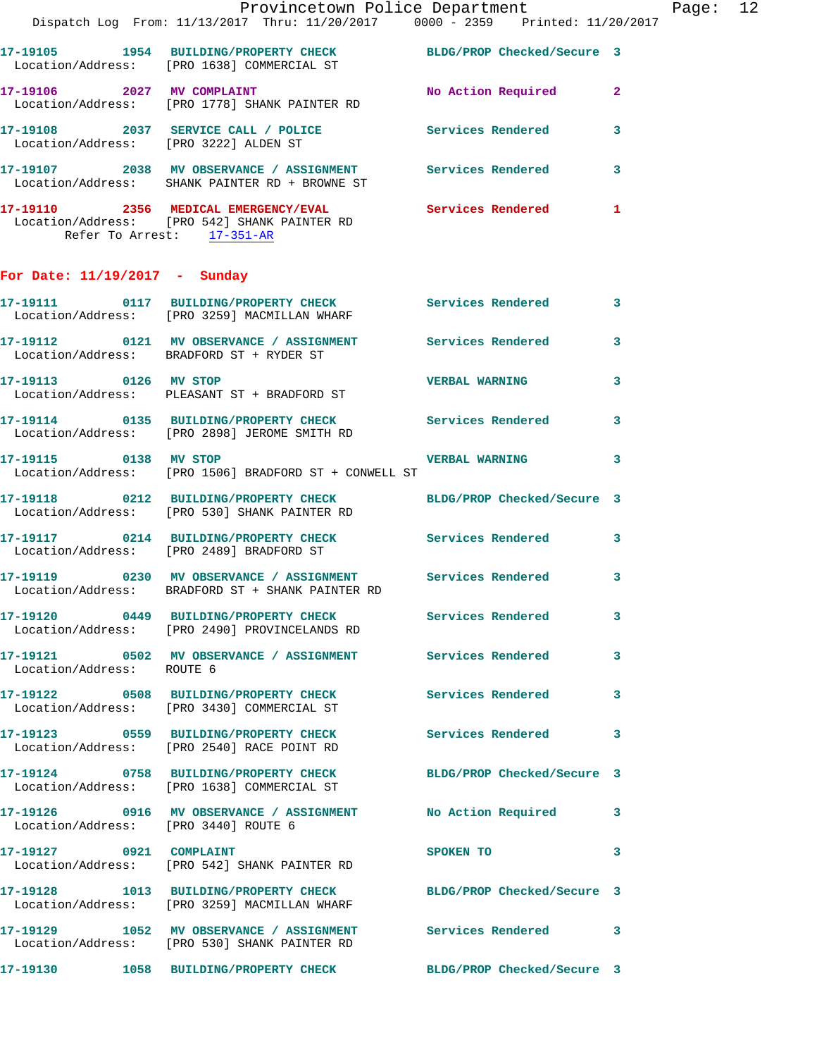**17-19108 2037 SERVICE CALL / POLICE Services Rendered 3**  Location/Address: [PRO 3222] ALDEN ST **17-19107 2038 MV OBSERVANCE / ASSIGNMENT Services Rendered 3**  Location/Address: SHANK PAINTER RD + BROWNE ST **17-19110 2356 MEDICAL EMERGENCY/EVAL Services Rendered 1**  Location/Address: [PRO 542] SHANK PAINTER RD

Refer To Arrest: 17-351-AR

Location/Address: [PRO 1778] SHANK PAINTER RD

## **For Date: 11/19/2017 - Sunday**

| 17-19111                             | 0117 BUILDING/PROPERTY CHECK<br>Location/Address: [PRO 3259] MACMILLAN WHARF                 | Services Rendered          | 3            |
|--------------------------------------|----------------------------------------------------------------------------------------------|----------------------------|--------------|
|                                      | 17-19112 0121 MV OBSERVANCE / ASSIGNMENT<br>Location/Address: BRADFORD ST + RYDER ST         | <b>Services Rendered</b>   | $\mathbf{3}$ |
| 17-19113 0126 MV STOP                | Location/Address: PLEASANT ST + BRADFORD ST                                                  | <b>VERBAL WARNING</b>      | $\mathbf{3}$ |
| 17-19114                             | 0135 BUILDING/PROPERTY CHECK<br>Location/Address: [PRO 2898] JEROME SMITH RD                 | <b>Services Rendered</b>   | $\mathbf{3}$ |
| 17-19115 0138 MV STOP                | Location/Address: [PRO 1506] BRADFORD ST + CONWELL ST                                        | <b>VERBAL WARNING</b>      | 3            |
|                                      |                                                                                              | BLDG/PROP Checked/Secure 3 |              |
|                                      | 17-19117 0214 BUILDING/PROPERTY CHECK<br>Location/Address: [PRO 2489] BRADFORD ST            | <b>Services Rendered</b>   | 3            |
|                                      | 17-19119 0230 MV OBSERVANCE / ASSIGNMENT<br>Location/Address: BRADFORD ST + SHANK PAINTER RD | <b>Services Rendered</b>   | 3            |
|                                      | 17-19120 0449 BUILDING/PROPERTY CHECK<br>Location/Address: [PRO 2490] PROVINCELANDS RD       | Services Rendered          | 3            |
| Location/Address: ROUTE 6            | 17-19121 0502 MV OBSERVANCE / ASSIGNMENT Services Rendered                                   |                            | $\mathbf{3}$ |
| 17-19122                             | 0508 BUILDING/PROPERTY CHECK<br>Location/Address: [PRO 3430] COMMERCIAL ST                   | Services Rendered          | $\mathbf{3}$ |
|                                      | 17-19123 0559 BUILDING/PROPERTY CHECK<br>Location/Address: [PRO 2540] RACE POINT RD          | Services Rendered          | $\mathbf{3}$ |
|                                      | 17-19124 0758 BUILDING/PROPERTY CHECK<br>Location/Address: [PRO 1638] COMMERCIAL ST          | BLDG/PROP Checked/Secure 3 |              |
| Location/Address: [PRO 3440] ROUTE 6 | 17-19126 0916 MV OBSERVANCE / ASSIGNMENT                                                     | No Action Required         | 3            |
| 17-19127 0921 COMPLAINT              | Location/Address: [PRO 542] SHANK PAINTER RD                                                 | SPOKEN TO                  | 3            |
|                                      | 17-19128 1013 BUILDING/PROPERTY CHECK<br>Location/Address: [PRO 3259] MACMILLAN WHARF        | BLDG/PROP Checked/Secure 3 |              |
|                                      | 17-19129 1052 MV OBSERVANCE / ASSIGNMENT<br>Location/Address: [PRO 530] SHANK PAINTER RD     | <b>Services Rendered</b> 3 |              |
|                                      | 17-19130 1058 BUILDING/PROPERTY CHECK BLDG/PROP Checked/Secure 3                             |                            |              |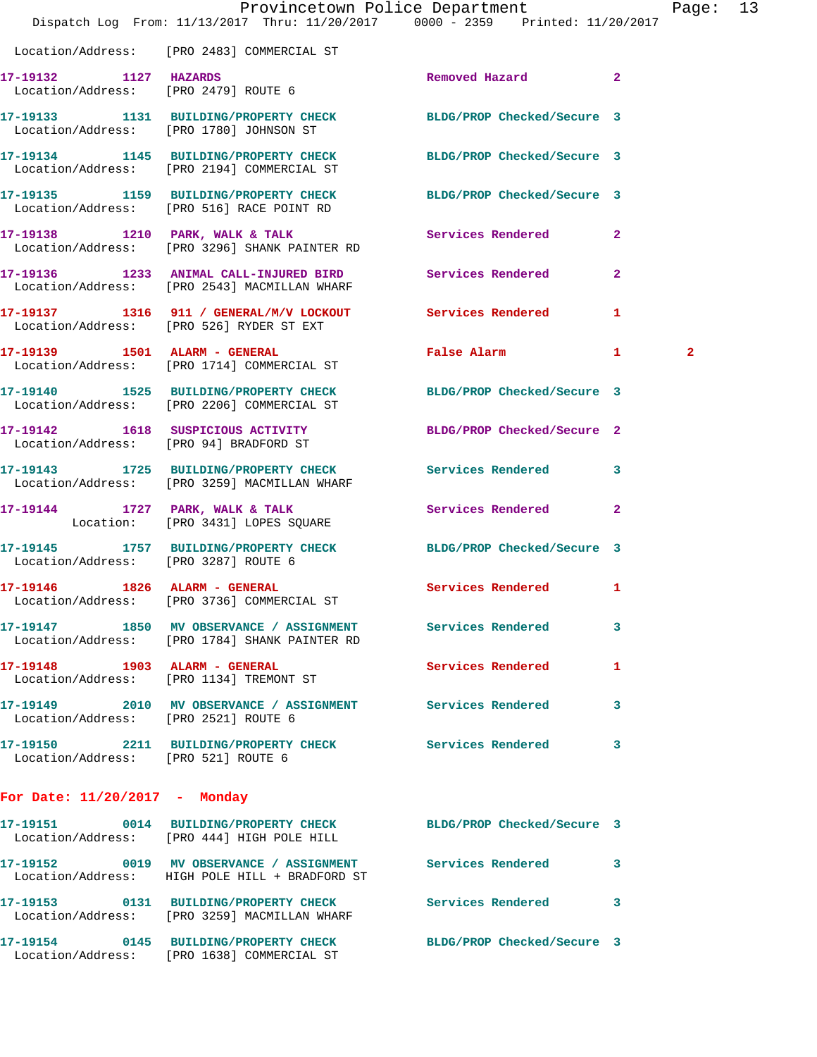|                                      | Dispatch Log From: 11/13/2017 Thru: 11/20/2017 0000 - 2359 Printed: 11/20/2017                                | Provincetown Police Department |              | Page: 13       |  |
|--------------------------------------|---------------------------------------------------------------------------------------------------------------|--------------------------------|--------------|----------------|--|
|                                      | Location/Address: [PRO 2483] COMMERCIAL ST                                                                    |                                |              |                |  |
| 17-19132 1127 HAZARDS                | 7-19132 1127 HAZARDS<br>Location/Address: [PRO 2479] ROUTE 6                                                  | Removed Hazard 2               |              |                |  |
|                                      | 17-19133 1131 BUILDING/PROPERTY CHECK BLDG/PROP Checked/Secure 3<br>Location/Address: [PRO 1780] JOHNSON ST   |                                |              |                |  |
|                                      | 17-19134 1145 BUILDING/PROPERTY CHECK<br>Location/Address: [PRO 2194] COMMERCIAL ST                           | BLDG/PROP Checked/Secure 3     |              |                |  |
|                                      | 17-19135 1159 BUILDING/PROPERTY CHECK BLDG/PROP Checked/Secure 3<br>Location/Address: [PRO 516] RACE POINT RD |                                |              |                |  |
|                                      | 17-19138 1210 PARK, WALK & TALK<br>Location/Address: [PRO 3296] SHANK PAINTER RD                              | Services Rendered              | $\mathbf{2}$ |                |  |
|                                      | 17-19136 1233 ANIMAL CALL-INJURED BIRD Services Rendered 2<br>Location/Address: [PRO 2543] MACMILLAN WHARF    |                                |              |                |  |
|                                      | 17-19137 1316 911 / GENERAL/M/V LOCKOUT Services Rendered<br>Location/Address: [PRO 526] RYDER ST EXT         |                                | $\mathbf{1}$ |                |  |
|                                      | 17-19139    1501    ALARM - GENERAL<br>Location/Address: [PRO 1714] COMMERCIAL ST                             | False Alarm 1                  |              | $\overline{2}$ |  |
|                                      | 17-19140 1525 BUILDING/PROPERTY CHECK<br>Location/Address: [PRO 2206] COMMERCIAL ST                           | BLDG/PROP Checked/Secure 3     |              |                |  |
|                                      | 17-19142  1618 SUSPICIOUS ACTIVITY<br>Location/Address: [PRO 94] BRADFORD ST                                  | BLDG/PROP Checked/Secure 2     |              |                |  |
|                                      | 17-19143 1725 BUILDING/PROPERTY CHECK Services Rendered 3<br>Location/Address: [PRO 3259] MACMILLAN WHARF     |                                |              |                |  |
|                                      | 17-19144 1727 PARK, WALK & TALK<br>Location: [PRO 3431] LOPES SQUARE                                          | Services Rendered 2            |              |                |  |
| Location/Address: [PRO 3287] ROUTE 6 | 17-19145 1757 BUILDING/PROPERTY CHECK BLDG/PROP Checked/Secure 3                                              |                                |              |                |  |
|                                      | Location/Address: [PRO 3736] COMMERCIAL ST                                                                    | <b>Services Rendered</b> 1     |              |                |  |
|                                      | 17-19147 1850 MV OBSERVANCE / ASSIGNMENT Services Rendered<br>Location/Address: [PRO 1784] SHANK PAINTER RD   |                                | 3            |                |  |
| 17-19148 1903 ALARM - GENERAL        | Location/Address: [PRO 1134] TREMONT ST                                                                       | Services Rendered              | 1            |                |  |
|                                      | 17-19149 2010 MV OBSERVANCE / ASSIGNMENT Services Rendered<br>Location/Address: [PRO 2521] ROUTE 6            |                                | 3            |                |  |
| Location/Address: [PRO 521] ROUTE 6  | 17-19150 2211 BUILDING/PROPERTY CHECK Services Rendered                                                       |                                | 3            |                |  |
| For Date: $11/20/2017$ - Monday      |                                                                                                               |                                |              |                |  |
|                                      | 17-19151 0014 BUILDING/PROPERTY CHECK<br>Location/Address: [PRO 444] HIGH POLE HILL                           | BLDG/PROP Checked/Secure 3     |              |                |  |
|                                      | 17-19152 0019 MV OBSERVANCE / ASSIGNMENT Services Rendered<br>Location/Address: HIGH POLE HILL + BRADFORD ST  |                                | 3            |                |  |
|                                      | 17-19153 0131 BUILDING/PROPERTY CHECK Services Rendered 3                                                     |                                |              |                |  |

Location/Address: [PRO 3259] MACMILLAN WHARF

Location/Address: [PRO 1638] COMMERCIAL ST

**17-19154 0145 BUILDING/PROPERTY CHECK BLDG/PROP Checked/Secure 3**